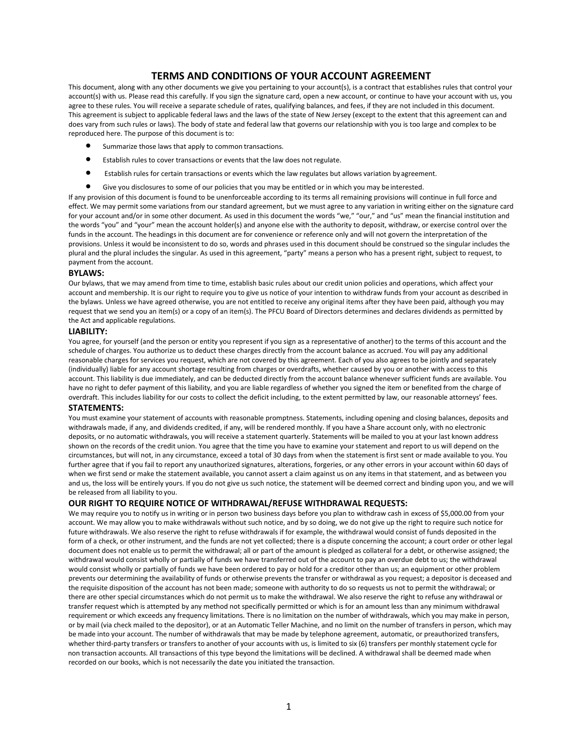# **TERMS AND CONDITIONS OF YOUR ACCOUNT AGREEMENT**

This document, along with any other documents we give you pertaining to your account(s), is a contract that establishes rules that control your account(s) with us. Please read this carefully. If you sign the signature card, open a new account, or continue to have your account with us, you agree to these rules. You will receive a separate schedule of rates, qualifying balances, and fees, if they are not included in this document. This agreement is subject to applicable federal laws and the laws of the state of New Jersey (except to the extent that this agreement can and does vary from such rules or laws). The body of state and federal law that governs our relationship with you is too large and complex to be reproduced here. The purpose of this document is to:

- Summarize those laws that apply to common transactions.
- Establish rules to cover transactions or events that the law does not regulate.
- Establish rules for certain transactions or events which the law regulates but allows variation byagreement.
- Give you disclosures to some of our policies that you may be entitled or in which you may be interested.

If any provision of this document is found to be unenforceable according to its terms all remaining provisions will continue in full force and effect. We may permit some variations from our standard agreement, but we must agree to any variation in writing either on the signature card for your account and/or in some other document. As used in this document the words "we," "our," and "us" mean the financial institution and the words "you" and "your" mean the account holder(s) and anyone else with the authority to deposit, withdraw, or exercise control over the funds in the account. The headings in this document are for convenience or reference only and will not govern the interpretation of the provisions. Unless it would be inconsistent to do so, words and phrases used in this document should be construed so the singular includes the plural and the plural includes the singular. As used in this agreement, "party" means a person who has a present right, subject to request, to payment from the account.

## **BYLAWS:**

Our bylaws, that we may amend from time to time, establish basic rules about our credit union policies and operations, which affect your account and membership. It is our right to require you to give us notice of your intention to withdraw funds from your account as described in the bylaws. Unless we have agreed otherwise, you are not entitled to receive any original items after they have been paid, although you may request that we send you an item(s) or a copy of an item(s). The PFCU Board of Directors determines and declares dividends as permitted by the Act and applicable regulations.

#### **LIABILITY:**

You agree, for yourself (and the person or entity you represent if you sign as a representative of another) to the terms of this account and the schedule of charges. You authorize us to deduct these charges directly from the account balance as accrued. You will pay any additional reasonable charges for services you request, which are not covered by this agreement. Each of you also agrees to be jointly and separately (individually) liable for any account shortage resulting from charges or overdrafts, whether caused by you or another with access to this account. This liability is due immediately, and can be deducted directly from the account balance whenever sufficient funds are available. You have no right to defer payment of this liability, and you are liable regardless of whether you signed the item or benefited from the charge of overdraft. This includes liability for our costs to collect the deficit including, to the extent permitted by law, our reasonable attorneys' fees.

## **STATEMENTS:**

You must examine your statement of accounts with reasonable promptness. Statements, including opening and closing balances, deposits and withdrawals made, if any, and dividends credited, if any, will be rendered monthly. If you have a Share account only, with no electronic deposits, or no automatic withdrawals, you will receive a statement quarterly. Statements will be mailed to you at your last known address shown on the records of the credit union. You agree that the time you have to examine your statement and report to us will depend on the circumstances, but will not, in any circumstance, exceed a total of 30 days from when the statement is first sent or made available to you. You further agree that if you fail to report any unauthorized signatures, alterations, forgeries, or any other errors in your account within 60 days of when we first send or make the statement available, you cannot assert a claim against us on any items in that statement, and as between you and us, the loss will be entirely yours. If you do not give us such notice, the statement will be deemed correct and binding upon you, and we will be released from all liability to you.

## **OUR RIGHT TO REQUIRE NOTICE OF WITHDRAWAL/REFUSE WITHDRAWAL REQUESTS:**

We may require you to notify us in writing or in person two business days before you plan to withdraw cash in excess of \$5,000.00 from your account. We may allow you to make withdrawals without such notice, and by so doing, we do not give up the right to require such notice for future withdrawals. We also reserve the right to refuse withdrawals if for example, the withdrawal would consist of funds deposited in the form of a check, or other instrument, and the funds are not yet collected; there is a dispute concerning the account; a court order or other legal document does not enable us to permit the withdrawal; all or part of the amount is pledged as collateral for a debt, or otherwise assigned; the withdrawal would consist wholly or partially of funds we have transferred out of the account to pay an overdue debt to us; the withdrawal would consist wholly or partially of funds we have been ordered to pay or hold for a creditor other than us; an equipment or other problem prevents our determining the availability of funds or otherwise prevents the transfer or withdrawal as you request; a depositor is deceased and the requisite disposition of the account has not been made; someone with authority to do so requests us not to permit the withdrawal; or there are other special circumstances which do not permit us to make the withdrawal. We also reserve the right to refuse any withdrawal or transfer request which is attempted by any method not specifically permitted or which is for an amount less than any minimum withdrawal requirement or which exceeds any frequency limitations. There is no limitation on the number of withdrawals, which you may make in person, or by mail (via check mailed to the depositor), or at an Automatic Teller Machine, and no limit on the number of transfers in person, which may be made into your account. The number of withdrawals that may be made by telephone agreement, automatic, or preauthorized transfers, whether third-party transfers or transfers to another of your accounts with us, is limited to six (6) transfers per monthly statement cycle for non transaction accounts. All transactions of this type beyond the limitations will be declined. A withdrawal shall be deemed made when recorded on our books, which is not necessarily the date you initiated the transaction.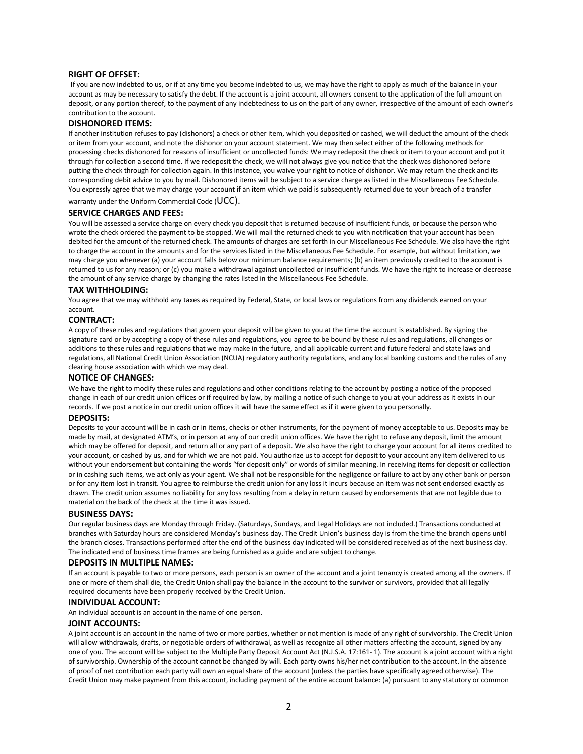## **RIGHT OF OFFSET:**

If you are now indebted to us, or if at any time you become indebted to us, we may have the right to apply as much of the balance in your account as may be necessary to satisfy the debt. If the account is a joint account, all owners consent to the application of the full amount on deposit, or any portion thereof, to the payment of any indebtedness to us on the part of any owner, irrespective of the amount of each owner's contribution to the account.

#### **DISHONORED ITEMS:**

If another institution refuses to pay (dishonors) a check or other item, which you deposited or cashed, we will deduct the amount of the check or item from your account, and note the dishonor on your account statement. We may then select either of the following methods for processing checks dishonored for reasons of insufficient or uncollected funds: We may redeposit the check or item to your account and put it through for collection a second time. If we redeposit the check, we will not always give you notice that the check was dishonored before putting the check through for collection again. In this instance, you waive your right to notice of dishonor. We may return the check and its corresponding debit advice to you by mail. Dishonored items will be subject to a service charge as listed in the Miscellaneous Fee Schedule. You expressly agree that we may charge your account if an item which we paid is subsequently returned due to your breach of a transfer warranty under the Uniform Commercial Code (UCC).

# **SERVICE CHARGES AND FEES:**

You will be assessed a service charge on every check you deposit that is returned because of insufficient funds, or because the person who wrote the check ordered the payment to be stopped. We will mail the returned check to you with notification that your account has been debited for the amount of the returned check. The amounts of charges are set forth in our Miscellaneous Fee Schedule. We also have the right to charge the account in the amounts and for the services listed in the Miscellaneous Fee Schedule. For example, but without limitation, we may charge you whenever (a) your account falls below our minimum balance requirements; (b) an item previously credited to the account is returned to us for any reason; or (c) you make a withdrawal against uncollected or insufficient funds. We have the right to increase or decrease the amount of any service charge by changing the rates listed in the Miscellaneous Fee Schedule.

## **TAX WITHHOLDING:**

You agree that we may withhold any taxes as required by Federal, State, or local laws or regulations from any dividends earned on your account.

## **CONTRACT:**

A copy of these rules and regulations that govern your deposit will be given to you at the time the account is established. By signing the signature card or by accepting a copy of these rules and regulations, you agree to be bound by these rules and regulations, all changes or additions to these rules and regulations that we may make in the future, and all applicable current and future federal and state laws and regulations, all National Credit Union Association (NCUA) regulatory authority regulations, and any local banking customs and the rules of any clearing house association with which we may deal.

#### **NOTICE OF CHANGES:**

We have the right to modify these rules and regulations and other conditions relating to the account by posting a notice of the proposed change in each of our credit union offices or if required by law, by mailing a notice of such change to you at your address as it exists in our records. If we post a notice in our credit union offices it will have the same effect as if it were given to you personally.

#### **DEPOSITS:**

Deposits to your account will be in cash or in items, checks or other instruments, for the payment of money acceptable to us. Deposits may be made by mail, at designated ATM's, or in person at any of our credit union offices. We have the right to refuse any deposit, limit the amount which may be offered for deposit, and return all or any part of a deposit. We also have the right to charge your account for all items credited to your account, or cashed by us, and for which we are not paid. You authorize us to accept for deposit to your account any item delivered to us without your endorsement but containing the words "for deposit only" or words of similar meaning. In receiving items for deposit or collection or in cashing such items, we act only as your agent. We shall not be responsible for the negligence or failure to act by any other bank or person or for any item lost in transit. You agree to reimburse the credit union for any loss it incurs because an item was not sent endorsed exactly as drawn. The credit union assumes no liability for any loss resulting from a delay in return caused by endorsements that are not legible due to material on the back of the check at the time it was issued.

#### **BUSINESS DAYS:**

Our regular business days are Monday through Friday. (Saturdays, Sundays, and Legal Holidays are not included.) Transactions conducted at branches with Saturday hours are considered Monday's business day. The Credit Union's business day is from the time the branch opens until the branch closes. Transactions performed after the end of the business day indicated will be considered received as of the next business day. The indicated end of business time frames are being furnished as a guide and are subject to change.

#### **DEPOSITS IN MULTIPLE NAMES:**

If an account is payable to two or more persons, each person is an owner of the account and a joint tenancy is created among all the owners. If one or more of them shall die, the Credit Union shall pay the balance in the account to the survivor or survivors, provided that all legally required documents have been properly received by the Credit Union.

#### **INDIVIDUAL ACCOUNT:**

An individual account is an account in the name of one person.

### **JOINT ACCOUNTS:**

A joint account is an account in the name of two or more parties, whether or not mention is made of any right of survivorship. The Credit Union will allow withdrawals, drafts, or negotiable orders of withdrawal, as well as recognize all other matters affecting the account, signed by any one of you. The account will be subject to the Multiple Party Deposit Account Act (N.J.S.A. 17:161- 1). The account is a joint account with a right of survivorship. Ownership of the account cannot be changed by will. Each party owns his/her net contribution to the account. In the absence of proof of net contribution each party will own an equal share of the account (unless the parties have specifically agreed otherwise). The Credit Union may make payment from this account, including payment of the entire account balance: (a) pursuant to any statutory or common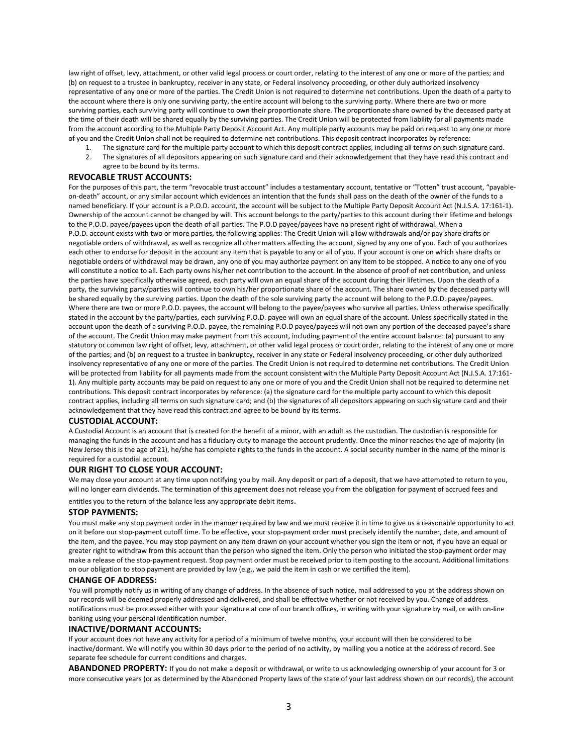law right of offset, levy, attachment, or other valid legal process or court order, relating to the interest of any one or more of the parties; and (b) on request to a trustee in bankruptcy, receiver in any state, or Federal insolvency proceeding, or other duly authorized insolvency representative of any one or more of the parties. The Credit Union is not required to determine net contributions. Upon the death of a party to the account where there is only one surviving party, the entire account will belong to the surviving party. Where there are two or more surviving parties, each surviving party will continue to own their proportionate share. The proportionate share owned by the deceased party at the time of their death will be shared equally by the surviving parties. The Credit Union will be protected from liability for all payments made from the account according to the Multiple Party Deposit Account Act. Any multiple party accounts may be paid on request to any one or more of you and the Credit Union shall not be required to determine net contributions. This deposit contract incorporates by reference:

- 1. The signature card for the multiple party account to which this deposit contract applies, including all terms on such signature card.
- 2. The signatures of all depositors appearing on such signature card and their acknowledgement that they have read this contract and agree to be bound by its terms.

## **REVOCABLE TRUST ACCOUNTS:**

For the purposes of this part, the term "revocable trust account" includes a testamentary account, tentative or "Totten" trust account, "payableon-death" account, or any similar account which evidences an intention that the funds shall pass on the death of the owner of the funds to a named beneficiary. If your account is a P.O.D. account, the account will be subject to the Multiple Party Deposit Account Act (N.J.S.A. 17:161-1). Ownership of the account cannot be changed by will. This account belongs to the party/parties to this account during their lifetime and belongs to the P.O.D. payee/payees upon the death of all parties. The P.O.D payee/payees have no present right of withdrawal. When a P.O.D. account exists with two or more parties, the following applies: The Credit Union will allow withdrawals and/or pay share drafts or negotiable orders of withdrawal, as well as recognize all other matters affecting the account, signed by any one of you. Each of you authorizes each other to endorse for deposit in the account any item that is payable to any or all of you. If your account is one on which share drafts or negotiable orders of withdrawal may be drawn, any one of you may authorize payment on any item to be stopped. A notice to any one of you will constitute a notice to all. Each party owns his/her net contribution to the account. In the absence of proof of net contribution, and unless the parties have specifically otherwise agreed, each party will own an equal share of the account during their lifetimes. Upon the death of a party, the surviving party/parties will continue to own his/her proportionate share of the account. The share owned by the deceased party will be shared equally by the surviving parties. Upon the death of the sole surviving party the account will belong to the P.O.D. payee/payees. Where there are two or more P.O.D. payees, the account will belong to the payee/payees who survive all parties. Unless otherwise specifically stated in the account by the party/parties, each surviving P.O.D. payee will own an equal share of the account. Unless specifically stated in the account upon the death of a surviving P.O.D. payee, the remaining P.O.D payee/payees will not own any portion of the deceased payee's share of the account. The Credit Union may make payment from this account, including payment of the entire account balance: (a) pursuant to any statutory or common law right of offset, levy, attachment, or other valid legal process or court order, relating to the interest of any one or more of the parties; and (b) on request to a trustee in bankruptcy, receiver in any state or Federal insolvency proceeding, or other duly authorized insolvency representative of any one or more of the parties. The Credit Union is not required to determine net contributions. The Credit Union will be protected from liability for all payments made from the account consistent with the Multiple Party Deposit Account Act (N.J.S.A. 17:161- 1). Any multiple party accounts may be paid on request to any one or more of you and the Credit Union shall not be required to determine net contributions. This deposit contract incorporates by reference: (a) the signature card for the multiple party account to which this deposit contract applies, including all terms on such signature card; and (b) the signatures of all depositors appearing on such signature card and their acknowledgement that they have read this contract and agree to be bound by its terms.

#### **CUSTODIAL ACCOUNT:**

A Custodial Account is an account that is created for the benefit of a minor, with an adult as the custodian. The custodian is responsible for managing the funds in the account and has a fiduciary duty to manage the account prudently. Once the minor reaches the age of majority (in New Jersey this is the age of 21), he/she has complete rights to the funds in the account. A social security number in the name of the minor is required for a custodial account.

#### **OUR RIGHT TO CLOSE YOUR ACCOUNT:**

We may close your account at any time upon notifying you by mail. Any deposit or part of a deposit, that we have attempted to return to you, will no longer earn dividends. The termination of this agreement does not release you from the obligation for payment of accrued fees and

entitles you to the return of the balance less any appropriate debit items.

## **STOP PAYMENTS:**

You must make any stop payment order in the manner required by law and we must receive it in time to give us a reasonable opportunity to act on it before our stop-payment cutoff time. To be effective, your stop-payment order must precisely identify the number, date, and amount of the item, and the payee. You may stop payment on any item drawn on your account whether you sign the item or not, if you have an equal or greater right to withdraw from this account than the person who signed the item. Only the person who initiated the stop-payment order may make a release of the stop-payment request. Stop payment order must be received prior to item posting to the account. Additional limitations on our obligation to stop payment are provided by law (e.g., we paid the item in cash or we certified the item).

#### **CHANGE OF ADDRESS:**

You will promptly notify us in writing of any change of address. In the absence of such notice, mail addressed to you at the address shown on our records will be deemed properly addressed and delivered, and shall be effective whether or not received by you. Change of address notifications must be processed either with your signature at one of our branch offices, in writing with your signature by mail, or with on-line banking using your personal identification number.

## **INACTIVE/DORMANT ACCOUNTS:**

If your account does not have any activity for a period of a minimum of twelve months, your account will then be considered to be inactive/dormant. We will notify you within 30 days prior to the period of no activity, by mailing you a notice at the address of record. See separate fee schedule for current conditions and charges.

**ABANDONED PROPERTY:** If you do not make a deposit or withdrawal, or write to us acknowledging ownership of your account for 3 or more consecutive years (or as determined by the Abandoned Property laws of the state of your last address shown on our records), the account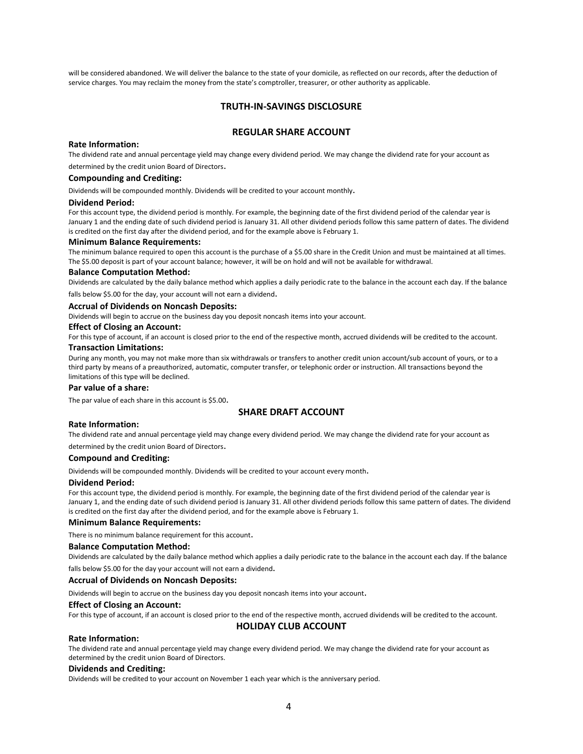will be considered abandoned. We will deliver the balance to the state of your domicile, as reflected on our records, after the deduction of service charges. You may reclaim the money from the state's comptroller, treasurer, or other authority as applicable.

# **TRUTH‐IN‐SAVINGS DISCLOSURE**

# **REGULAR SHARE ACCOUNT**

## **Rate Information:**

The dividend rate and annual percentage yield may change every dividend period. We may change the dividend rate for your account as determined by the credit union Board of Directors.

# **Compounding and Crediting:**

Dividends will be compounded monthly. Dividends will be credited to your account monthly.

#### **Dividend Period:**

For this account type, the dividend period is monthly. For example, the beginning date of the first dividend period of the calendar year is January 1 and the ending date of such dividend period is January 31. All other dividend periods follow this same pattern of dates. The dividend is credited on the first day after the dividend period, and for the example above is February 1.

# **Minimum Balance Requirements:**

The minimum balance required to open this account is the purchase of a \$5.00 share in the Credit Union and must be maintained at all times. The \$5.00 deposit is part of your account balance; however, it will be on hold and will not be available for withdrawal.

#### **Balance Computation Method:**

Dividends are calculated by the daily balance method which applies a daily periodic rate to the balance in the account each day. If the balance

falls below \$5.00 for the day, your account will not earn a dividend.

#### **Accrual of Dividends on Noncash Deposits:**

Dividends will begin to accrue on the business day you deposit noncash items into your account.

## **Effect of Closing an Account:**

For this type of account, if an account is closed prior to the end of the respective month, accrued dividends will be credited to the account.

# **Transaction Limitations:**

During any month, you may not make more than six withdrawals or transfers to another credit union account/sub account of yours, or to a third party by means of a preauthorized, automatic, computer transfer, or telephonic order or instruction. All transactions beyond the limitations of this type will be declined.

## **Par value of a share:**

The par value of each share in this account is \$5.00.

# **SHARE DRAFT ACCOUNT**

## **Rate Information:**

The dividend rate and annual percentage yield may change every dividend period. We may change the dividend rate for your account as

determined by the credit union Board of Directors.

## **Compound and Crediting:**

Dividends will be compounded monthly. Dividends will be credited to your account every month.

#### **Dividend Period:**

For this account type, the dividend period is monthly. For example, the beginning date of the first dividend period of the calendar year is January 1, and the ending date of such dividend period is January 31. All other dividend periods follow this same pattern of dates. The dividend is credited on the first day after the dividend period, and for the example above is February 1.

## **Minimum Balance Requirements:**

There is no minimum balance requirement for this account.

#### **Balance Computation Method:**

Dividends are calculated by the daily balance method which applies a daily periodic rate to the balance in the account each day. If the balance

falls below \$5.00 for the day your account will not earn a dividend.

## **Accrual of Dividends on Noncash Deposits:**

Dividends will begin to accrue on the business day you deposit noncash items into your account.

#### **Effect of Closing an Account:**

For this type of account, if an account is closed prior to the end of the respective month, accrued dividends will be credited to the account.

**HOLIDAY CLUB ACCOUNT**

#### **Rate Information:**

The dividend rate and annual percentage yield may change every dividend period. We may change the dividend rate for your account as determined by the credit union Board of Directors.

## **Dividends and Crediting:**

Dividends will be credited to your account on November 1 each year which is the anniversary period.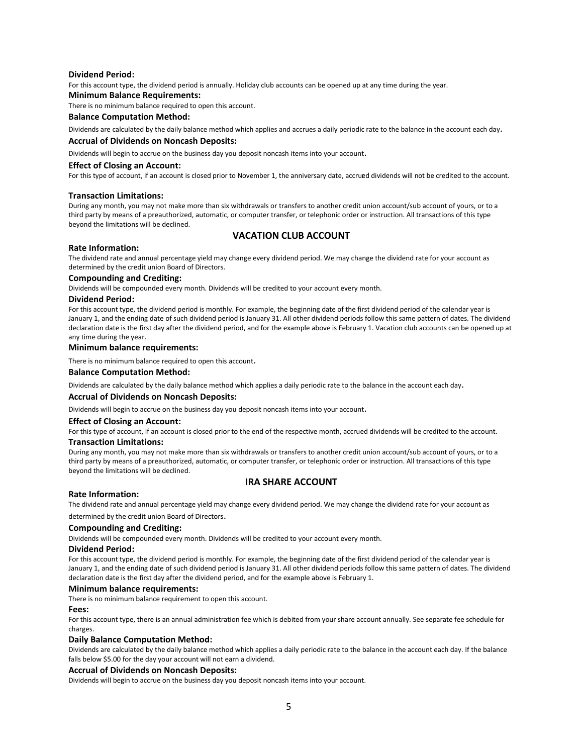## **Dividend Period:**

For this account type, the dividend period is annually. Holiday club accounts can be opened up at any time during the year.

# **Minimum Balance Requirements:**

There is no minimum balance required to open this account.

## **Balance Computation Method:**

Dividends are calculated by the daily balance method which applies and accrues a daily periodic rate to the balance in the account each day.

## **Accrual of Dividends on Noncash Deposits:**

Dividends will begin to accrue on the business day you deposit noncash items into your account.

## **Effect of Closing an Account:**

For this type of account, if an account is closed prior to November 1, the anniversary date, accrued dividends will not be credited to the account.

## **Transaction Limitations:**

During any month, you may not make more than six withdrawals or transfers to another credit union account/sub account of yours, or to a third party by means of a preauthorized, automatic, or computer transfer, or telephonic order or instruction. All transactions of this type beyond the limitations will be declined.

# **VACATION CLUB ACCOUNT**

## **Rate Information:**

The dividend rate and annual percentage yield may change every dividend period. We may change the dividend rate for your account as determined by the credit union Board of Directors.

## **Compounding and Crediting:**

Dividends will be compounded every month. Dividends will be credited to your account every month.

## **Dividend Period:**

For this account type, the dividend period is monthly. For example, the beginning date of the first dividend period of the calendar year is January 1, and the ending date of such dividend period is January 31. All other dividend periods follow this same pattern of dates. The dividend declaration date is the first day after the dividend period, and for the example above is February 1. Vacation club accounts can be opened up at any time during the year.

#### **Minimum balance requirements:**

There is no minimum balance required to open this account.

## **Balance Computation Method:**

Dividends are calculated by the daily balance method which applies a daily periodic rate to the balance in the account each day.

## **Accrual of Dividends on Noncash Deposits:**

Dividends will begin to accrue on the business day you deposit noncash items into your account.

#### **Effect of Closing an Account:**

For this type of account, if an account is closed prior to the end of the respective month, accrued dividends will be credited to the account.

#### **Transaction Limitations:**

During any month, you may not make more than six withdrawals or transfers to another credit union account/sub account of yours, or to a third party by means of a preauthorized, automatic, or computer transfer, or telephonic order or instruction. All transactions of this type beyond the limitations will be declined.

# **IRA SHARE ACCOUNT**

#### **Rate Information:**

The dividend rate and annual percentage yield may change every dividend period. We may change the dividend rate for your account as

# determined by the credit union Board of Directors.

## **Compounding and Crediting:**

Dividends will be compounded every month. Dividends will be credited to your account every month.

## **Dividend Period:**

For this account type, the dividend period is monthly. For example, the beginning date of the first dividend period of the calendar year is January 1, and the ending date of such dividend period is January 31. All other dividend periods follow this same pattern of dates. The dividend declaration date is the first day after the dividend period, and for the example above is February 1.

#### **Minimum balance requirements:**

There is no minimum balance requirement to open this account.

#### **Fees:**

For this account type, there is an annual administration fee which is debited from your share account annually. See separate fee schedule for charges.

### **Daily Balance Computation Method:**

Dividends are calculated by the daily balance method which applies a daily periodic rate to the balance in the account each day. If the balance falls below \$5.00 for the day your account will not earn a dividend.

#### **Accrual of Dividends on Noncash Deposits:**

Dividends will begin to accrue on the business day you deposit noncash items into your account.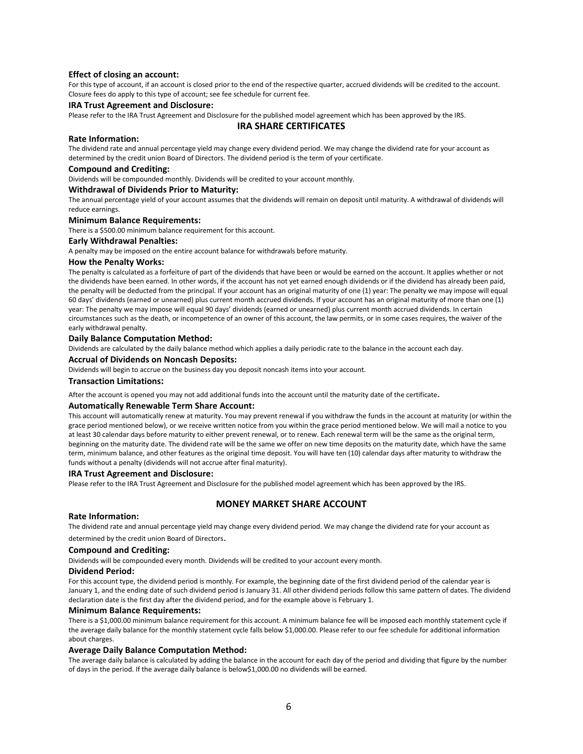## **Effect of closing an account:**

For this type of account, if an account is closed prior to the end of the respective quarter, accrued dividends will be credited to the account. Closure fees do apply to this type of account; see fee schedule for current fee.

## **IRA Trust Agreement and Disclosure:**

Please refer to the IRA Trust Agreement and Disclosure for the published model agreement which has been approved by the IRS.

## **IRA SHARE CERTIFICATES**

#### **Rate Information:**

The dividend rate and annual percentage yield may change every dividend period. We may change the dividend rate for your account as determined by the credit union Board of Directors. The dividend period is the term of your certificate.

#### **Compound and Crediting:**

Dividends will be compounded monthly. Dividends will be credited to your account monthly.

## **Withdrawal of Dividends Prior to Maturity:**

The annual percentage yield of your account assumes that the dividends will remain on deposit until maturity. A withdrawal of dividends will reduce earnings.

#### **Minimum Balance Requirements:**

There is a \$500.00 minimum balance requirement for this account.

## **Early Withdrawal Penalties:**

A penalty may be imposed on the entire account balance for withdrawals before maturity.

## **How the Penalty Works:**

The penalty is calculated as a forfeiture of part of the dividends that have been or would be earned on the account. It applies whether or not the dividends have been earned. In other words, if the account has not yet earned enough dividends or if the dividend has already been paid, the penalty will be deducted from the principal. If your account has an original maturity of one (1) year: The penalty we may impose will equal 60 days' dividends (earned or unearned) plus current month accrued dividends. If your account has an original maturity of more than one (1) year: The penalty we may impose will equal 90 days' dividends (earned or unearned) plus current month accrued dividends. In certain circumstances such as the death, or incompetence of an owner of this account, the law permits, or in some cases requires, the waiver of the early withdrawal penalty.

#### **Daily Balance Computation Method:**

Dividends are calculated by the daily balance method which applies a daily periodic rate to the balance in the account each day.

## **Accrual of Dividends on Noncash Deposits:**

Dividends will begin to accrue on the business day you deposit noncash items into your account.

#### **Transaction Limitations:**

After the account is opened you may not add additional funds into the account until the maturity date of the certificate.

#### **Automatically Renewable Term Share Account:**

This account will automatically renew at maturity. You may prevent renewal if you withdraw the funds in the account at maturity (or within the grace period mentioned below), or we receive written notice from you within the grace period mentioned below. We will mail a notice to you at least 30 calendar days before maturity to either prevent renewal, or to renew. Each renewal term will be the same as the original term, beginning on the maturity date. The dividend rate will be the same we offer on new time deposits on the maturity date, which have the same term, minimum balance, and other features as the original time deposit. You will have ten (10) calendar days after maturity to withdraw the funds without a penalty (dividends will not accrue after final maturity).

#### **IRA Trust Agreement and Disclosure:**

Please refer to the IRA Trust Agreement and Disclosure for the published model agreement which has been approved by the IRS.

# **MONEY MARKET SHARE ACCOUNT**

## **Rate Information:**

The dividend rate and annual percentage yield may change every dividend period. We may change the dividend rate for your account as determined by the credit union Board of Directors.

#### **Compound and Crediting:**

Dividends will be compounded every month. Dividends will be credited to your account every month.

## **Dividend Period:**

For this account type, the dividend period is monthly. For example, the beginning date of the first dividend period of the calendar year is January 1, and the ending date of such dividend period is January 31. All other dividend periods follow this same pattern of dates. The dividend declaration date is the first day after the dividend period, and for the example above is February 1.

#### **Minimum Balance Requirements:**

There is a \$1,000.00 minimum balance requirement for this account. A minimum balance fee will be imposed each monthly statement cycle if the average daily balance for the monthly statement cycle falls below \$1,000.00. Please refer to our fee schedule for additional information about charges.

#### **Average Daily Balance Computation Method:**

The average daily balance is calculated by adding the balance in the account for each day of the period and dividing that figure by the number of days in the period. If the average daily balance is below\$1,000.00 no dividends will be earned.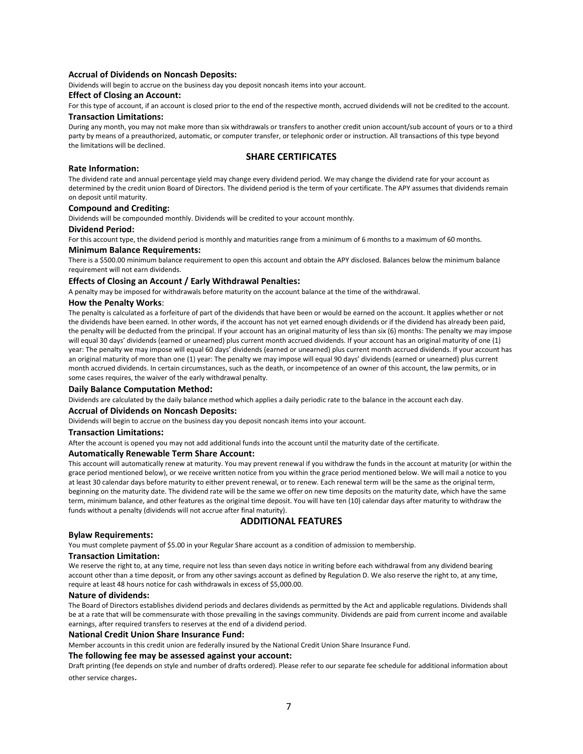## **Accrual of Dividends on Noncash Deposits:**

Dividends will begin to accrue on the business day you deposit noncash items into your account.

## **Effect of Closing an Account:**

For this type of account, if an account is closed prior to the end of the respective month, accrued dividends will not be credited to the account. **Transaction Limitations:**

During any month, you may not make more than six withdrawals or transfers to another credit union account/sub account of yours or to a third party by means of a preauthorized, automatic, or computer transfer, or telephonic order or instruction. All transactions of this type beyond the limitations will be declined.

# **SHARE CERTIFICATES**

## **Rate Information:**

The dividend rate and annual percentage yield may change every dividend period. We may change the dividend rate for your account as determined by the credit union Board of Directors. The dividend period is the term of your certificate. The APY assumes that dividends remain on deposit until maturity.

## **Compound and Crediting:**

Dividends will be compounded monthly. Dividends will be credited to your account monthly.

## **Dividend Period:**

For this account type, the dividend period is monthly and maturities range from a minimum of 6 months to a maximum of 60 months.

#### **Minimum Balance Requirements:**

There is a \$500.00 minimum balance requirement to open this account and obtain the APY disclosed. Balances below the minimum balance requirement will not earn dividends.

## **Effects of Closing an Account / Early Withdrawal Penalties:**

A penalty may be imposed for withdrawals before maturity on the account balance at the time of the withdrawal.

### **How the Penalty Works**:

The penalty is calculated as a forfeiture of part of the dividends that have been or would be earned on the account. It applies whether or not the dividends have been earned. In other words, if the account has not yet earned enough dividends or if the dividend has already been paid, the penalty will be deducted from the principal. If your account has an original maturity of less than six (6) months: The penalty we may impose will equal 30 days' dividends (earned or unearned) plus current month accrued dividends. If your account has an original maturity of one (1) year: The penalty we may impose will equal 60 days' dividends (earned or unearned) plus current month accrued dividends. If your account has an original maturity of more than one (1) year: The penalty we may impose will equal 90 days' dividends (earned or unearned) plus current month accrued dividends. In certain circumstances, such as the death, or incompetence of an owner of this account, the law permits, or in some cases requires, the waiver of the early withdrawal penalty.

#### **Daily Balance Computation Method:**

Dividends are calculated by the daily balance method which applies a daily periodic rate to the balance in the account each day.

#### **Accrual of Dividends on Noncash Deposits:**

Dividends will begin to accrue on the business day you deposit noncash items into your account.

#### **Transaction Limitations:**

After the account is opened you may not add additional funds into the account until the maturity date of the certificate.

#### **Automatically Renewable Term Share Account:**

This account will automatically renew at maturity. You may prevent renewal if you withdraw the funds in the account at maturity (or within the grace period mentioned below), or we receive written notice from you within the grace period mentioned below. We will mail a notice to you at least 30 calendar days before maturity to either prevent renewal, or to renew. Each renewal term will be the same as the original term, beginning on the maturity date. The dividend rate will be the same we offer on new time deposits on the maturity date, which have the same term, minimum balance, and other features as the original time deposit. You will have ten (10) calendar days after maturity to withdraw the funds without a penalty (dividends will not accrue after final maturity).

# **ADDITIONAL FEATURES**

## **Bylaw Requirements:**

You must complete payment of \$5.00 in your Regular Share account as a condition of admission to membership.

#### **Transaction Limitation:**

We reserve the right to, at any time, require not less than seven days notice in writing before each withdrawal from any dividend bearing account other than a time deposit, or from any other savings account as defined by Regulation D. We also reserve the right to, at any time, require at least 48 hours notice for cash withdrawals in excess of \$5,000.00.

#### **Nature of dividends:**

The Board of Directors establishes dividend periods and declares dividends as permitted by the Act and applicable regulations. Dividends shall be at a rate that will be commensurate with those prevailing in the savings community. Dividends are paid from current income and available earnings, after required transfers to reserves at the end of a dividend period.

#### **National Credit Union Share Insurance Fund:**

Member accounts in this credit union are federally insured by the National Credit Union Share Insurance Fund.

## **The following fee may be assessed against your account:**

Draft printing (fee depends on style and number of drafts ordered). Please refer to our separate fee schedule for additional information about other service charges.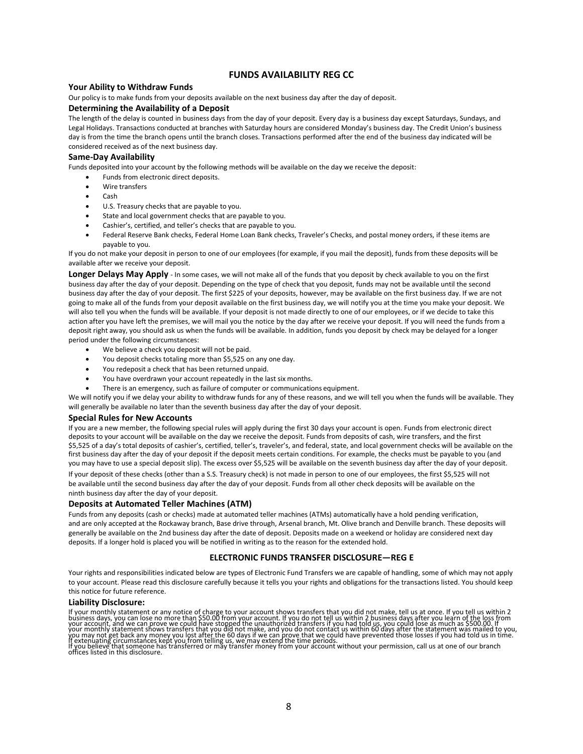# **FUNDS AVAILABILITY REG CC**

## **Your Ability to Withdraw Funds**

Our policy is to make funds from your deposits available on the next business day after the day of deposit.

## **Determining the Availability of a Deposit**

The length of the delay is counted in business days from the day of your deposit. Every day is a business day except Saturdays, Sundays, and Legal Holidays. Transactions conducted at branches with Saturday hours are considered Monday's business day. The Credit Union's business day is from the time the branch opens until the branch closes. Transactions performed after the end of the business day indicated will be considered received as of the next business day.

## **Same‐Day Availability**

Funds deposited into your account by the following methods will be available on the day we receive the deposit:

- Funds from electronic direct deposits.
- Wire transfers
- Cash
- U.S. Treasury checks that are payable to you.
- State and local government checks that are payable to you.
- Cashier's, certified, and teller's checks that are payable to you.
- Federal Reserve Bank checks, Federal Home Loan Bank checks, Traveler's Checks, and postal money orders, if these items are payable to you.

If you do not make your deposit in person to one of our employees (for example, if you mail the deposit), funds from these deposits will be available after we receive your deposit.

**Longer Delays May Apply** - In some cases, we will not make all of the funds that you deposit by check available to you on the first business day after the day of your deposit. Depending on the type of check that you deposit, funds may not be available until the second business day after the day of your deposit. The first \$225 of your deposits, however, may be available on the first business day. If we are not going to make all of the funds from your deposit available on the first business day, we will notify you at the time you make your deposit. We will also tell you when the funds will be available. If your deposit is not made directly to one of our employees, or if we decide to take this action after you have left the premises, we will mail you the notice by the day after we receive your deposit. If you will need the funds from a deposit right away, you should ask us when the funds will be available. In addition, funds you deposit by check may be delayed for a longer period under the following circumstances:

- We believe a check you deposit will not be paid.
- You deposit checks totaling more than \$5,525 on any one day.
- You redeposit a check that has been returned unpaid.
- You have overdrawn your account repeatedly in the last six months.
- There is an emergency, such as failure of computer or communications equipment.

We will notify you if we delay your ability to withdraw funds for any of these reasons, and we will tell you when the funds will be available. They will generally be available no later than the seventh business day after the day of your deposit.

#### **Special Rules for New Accounts**

If you are a new member, the following special rules will apply during the first 30 days your account is open. Funds from electronic direct deposits to your account will be available on the day we receive the deposit. Funds from deposits of cash, wire transfers, and the first \$5,525 of a day's total deposits of cashier's, certified, teller's, traveler's, and federal, state, and local government checks will be available on the first business day after the day of your deposit if the deposit meets certain conditions. For example, the checks must be payable to you (and you may have to use a special deposit slip). The excess over \$5,525 will be available on the seventh business day after the day of your deposit.

If your deposit of these checks (other than a S.S. Treasury check) is not made in person to one of our employees, the first \$5,525 will not be available until the second business day after the day of your deposit. Funds from all other check deposits will be available on the ninth business day after the day of your deposit.

#### **Deposits at Automated Teller Machines (ATM)**

Funds from any deposits (cash or checks) made at automated teller machines (ATMs) automatically have a hold pending verification, and are only accepted at the Rockaway branch, Base drive through, Arsenal branch, Mt. Olive branch and Denville branch. These deposits will generally be available on the 2nd business day after the date of deposit. Deposits made on a weekend or holiday are considered next day deposits. If a longer hold is placed you will be notified in writing as to the reason for the extended hold.

## **ELECTRONIC FUNDS TRANSFER DISCLOSURE—REG E**

Your rights and responsibilities indicated below are types of Electronic Fund Transfers we are capable of handling, some of which may not apply to your account. Please read this disclosure carefully because it tells you your rights and obligations for the transactions listed. You should keep this notice for future reference.

#### **Liability Disclosure:**

If your monthly statement or any notice of charge to your account shows transfers that you did not make, tell us at once. If you tell us within 2<br>business days, you can lose no more than \$50.00 from your account. If you do your monthly statement shows transfers that you did not make, and you do not contact us within 60 days after the statement was mailed to you,<br>you may not get back any money you lost after the 60 days if we can prove that w If you believe that someone has offices listed in this disclosure.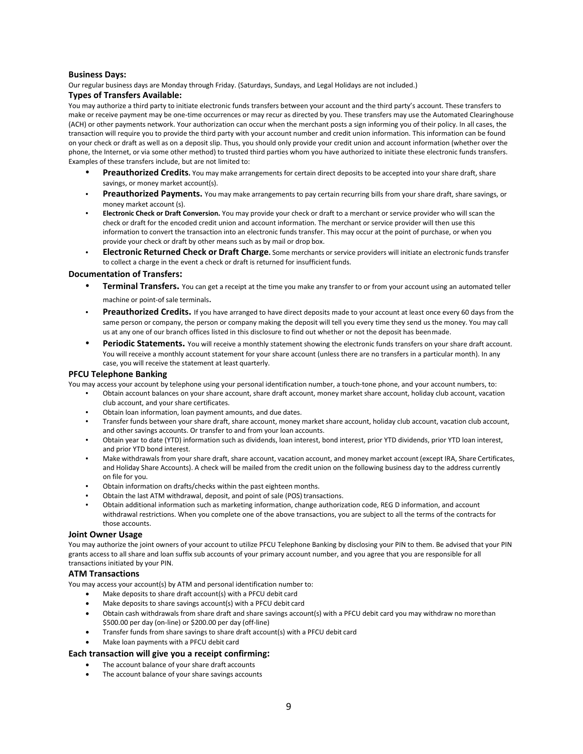## **Business Days:**

Our regular business days are Monday through Friday. (Saturdays, Sundays, and Legal Holidays are not included.)

## **Types of Transfers Available:**

You may authorize a third party to initiate electronic funds transfers between your account and the third party's account. These transfers to make or receive payment may be one-time occurrences or may recur as directed by you. These transfers may use the Automated Clearinghouse (ACH) or other payments network. Your authorization can occur when the merchant posts a sign informing you of their policy. In all cases, the transaction will require you to provide the third party with your account number and credit union information. This information can be found on your check or draft as well as on a deposit slip. Thus, you should only provide your credit union and account information (whether over the phone, the Internet, or via some other method) to trusted third parties whom you have authorized to initiate these electronic funds transfers. Examples of these transfers include, but are not limited to:

- **Preauthorized Credits.** You may make arrangements for certain direct deposits to be accepted into your share draft, share savings, or money market account(s).
- **Preauthorized Payments.** You may make arrangements to pay certain recurring bills from your share draft, share savings, or money market account (s).
- **Electronic Check or Draft Conversion.** You may provide your check or draft to a merchant or service provider who will scan the check or draft for the encoded credit union and account information. The merchant or service provider will then use this information to convert the transaction into an electronic funds transfer. This may occur at the point of purchase, or when you provide your check or draft by other means such as by mail or drop box.
- **Electronic Returned Check or Draft Charge.** Some merchants or service providers will initiate an electronic funds transfer to collect a charge in the event a check or draft is returned for insufficient funds.

## **Documentation of Transfers:**

- **Terminal Transfers.** You can get a receipt at the time you make any transfer to or from your account using an automated teller machine or point-of sale terminals.
- Preauthorized Credits. If you have arranged to have direct deposits made to your account at least once every 60 days from the same person or company, the person or company making the deposit will tell you every time they send us the money. You may call us at any one of our branch offices listed in this disclosure to find out whether or not the deposit has beenmade.
- Periodic Statements. You will receive a monthly statement showing the electronic funds transfers on your share draft account. You will receive a monthly account statement for your share account (unless there are no transfers in a particular month). In any case, you will receive the statement at least quarterly.

## **PFCU Telephone Banking**

You may access your account by telephone using your personal identification number, a touch-tone phone, and your account numbers, to:

- Obtain account balances on your share account, share draft account, money market share account, holiday club account, vacation club account, and your share certificates.
- Obtain loan information, loan payment amounts, and due dates.
- Transfer funds between your share draft, share account, money market share account, holiday club account, vacation club account, and other savings accounts. Or transfer to and from your loan accounts.
- Obtain year to date (YTD) information such as dividends, loan interest, bond interest, prior YTD dividends, prior YTD loan interest, and prior YTD bond interest.
- Make withdrawals from your share draft, share account, vacation account, and money market account (except IRA, Share Certificates, and Holiday Share Accounts). A check will be mailed from the credit union on the following business day to the address currently on file for you.
- Obtain information on drafts/checks within the past eighteen months.
- Obtain the last ATM withdrawal, deposit, and point of sale (POS) transactions.
- Obtain additional information such as marketing information, change authorization code, REG D information, and account withdrawal restrictions. When you complete one of the above transactions, you are subject to all the terms of the contracts for those accounts.

#### **Joint Owner Usage**

You may authorize the joint owners of your account to utilize PFCU Telephone Banking by disclosing your PIN to them. Be advised that your PIN grants access to all share and loan suffix sub accounts of your primary account number, and you agree that you are responsible for all transactions initiated by your PIN.

#### **ATM Transactions**

You may access your account(s) by ATM and personal identification number to:

- Make deposits to share draft account(s) with a PFCU debit card
- Make deposits to share savings account(s) with a PFCU debit card
- Obtain cash withdrawals from share draft and share savings account(s) with a PFCU debit card you may withdraw no morethan \$500.00 per day (on-line) or \$200.00 per day (off-line)
- Transfer funds from share savings to share draft account(s) with a PFCU debit card
- Make loan payments with a PFCU debit card

## **Each transaction will give you a receipt confirming:**

- The account balance of your share draft accounts
- The account balance of your share savings accounts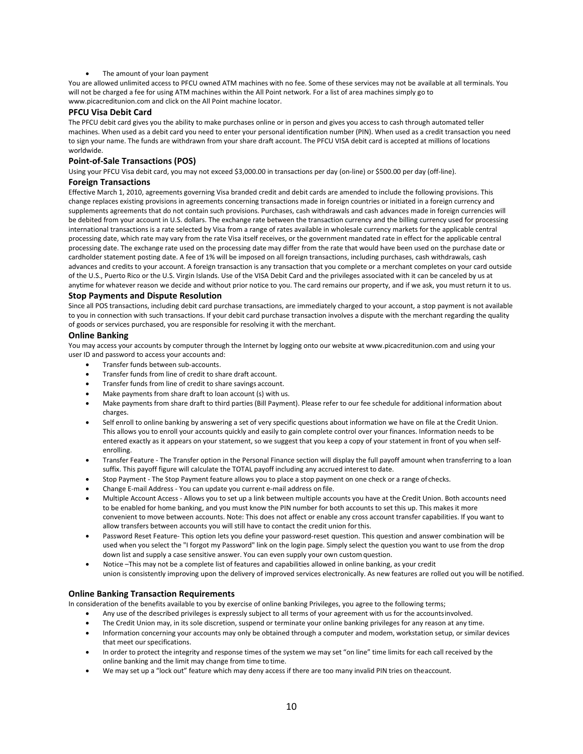The amount of your loan payment

You are allowed unlimited access to PFCU owned ATM machines with no fee. Some of these services may not be available at all terminals. You will not be charged a fee for using ATM machines within the All Point network. For a list of area machines simply go to [www.picacreditunion.com a](http://www.picacreditunion.com/)nd click on the All Point machine locator.

## **PFCU Visa Debit Card**

The PFCU debit card gives you the ability to make purchases online or in person and gives you access to cash through automated teller machines. When used as a debit card you need to enter your personal identification number (PIN). When used as a credit transaction you need to sign your name. The funds are withdrawn from your share draft account. The PFCU VISA debit card is accepted at millions of locations worldwide.

# **Point‐of‐Sale Transactions (POS)**

Using your PFCU Visa debit card, you may not exceed \$3,000.00 in transactions per day (on-line) or \$500.00 per day (off-line).

# **Foreign Transactions**

Effective March 1, 2010, agreements governing Visa branded credit and debit cards are amended to include the following provisions. This change replaces existing provisions in agreements concerning transactions made in foreign countries or initiated in a foreign currency and supplements agreements that do not contain such provisions. Purchases, cash withdrawals and cash advances made in foreign currencies will be debited from your account in U.S. dollars. The exchange rate between the transaction currency and the billing currency used for processing international transactions is a rate selected by Visa from a range of rates available in wholesale currency markets for the applicable central processing date, which rate may vary from the rate Visa itself receives, or the government mandated rate in effect for the applicable central processing date. The exchange rate used on the processing date may differ from the rate that would have been used on the purchase date or cardholder statement posting date. A fee of 1% will be imposed on all foreign transactions, including purchases, cash withdrawals, cash advances and credits to your account. A foreign transaction is any transaction that you complete or a merchant completes on your card outside of the U.S., Puerto Rico or the U.S. Virgin Islands. Use of the VISA Debit Card and the privileges associated with it can be canceled by us at anytime for whatever reason we decide and without prior notice to you. The card remains our property, and if we ask, you must return it to us.

## **Stop Payments and Dispute Resolution**

Since all POS transactions, including debit card purchase transactions, are immediately charged to your account, a stop payment is not available to you in connection with such transactions. If your debit card purchase transaction involves a dispute with the merchant regarding the quality of goods or services purchased, you are responsible for resolving it with the merchant.

## **Online Banking**

You may access your accounts by computer through the Internet by logging onto our website a[t www.picacreditunion.com a](http://www.picacreditunion.com/)nd using your user ID and password to access your accounts and:

- Transfer funds between sub-accounts.
- Transfer funds from line of credit to share draft account.
- Transfer funds from line of credit to share savings account.
- Make payments from share draft to loan account (s) with us.
- Make payments from share draft to third parties (Bill Payment). Please refer to our fee schedule for additional information about charges.
- Self enroll to online banking by answering a set of very specific questions about information we have on file at the Credit Union. This allows you to enroll your accounts quickly and easily to gain complete control over your finances. Information needs to be entered exactly as it appears on your statement, so we suggest that you keep a copy of your statement in front of you when selfenrolling.
- Transfer Feature The Transfer option in the Personal Finance section will display the full payoff amount when transferring to a loan suffix. This payoff figure will calculate the TOTAL payoff including any accrued interest to date.
- Stop Payment The Stop Payment feature allows you to place a stop payment on one check or a range of checks.
- Change E-mail Address You can update you current e-mail address on file.
- Multiple Account Access Allows you to set up a link between multiple accounts you have at the Credit Union. Both accounts need to be enabled for home banking, and you must know the PIN number for both accounts to set this up. This makes it more convenient to move between accounts. Note: This does not affect or enable any cross account transfer capabilities. If you want to allow transfers between accounts you will still have to contact the credit union forthis.
- Password Reset Feature- This option lets you define your password-reset question. This question and answer combination will be used when you select the "I forgot my Password" link on the login page. Simply select the question you want to use from the drop down list and supply a case sensitive answer. You can even supply your own custom question.
- Notice –This may not be a complete list of features and capabilities allowed in online banking, as your credit union is consistently improving upon the delivery of improved services electronically. As new features are rolled out you will be notified.

## **Online Banking Transaction Requirements**

In consideration of the benefits available to you by exercise of online banking Privileges, you agree to the following terms;

- Any use of the described privileges is expressly subject to all terms of your agreement with us for the accountsinvolved.
- The Credit Union may, in its sole discretion, suspend or terminate your online banking privileges for any reason at any time.
- Information concerning your accounts may only be obtained through a computer and modem, workstation setup, or similar devices that meet our specifications.
- In order to protect the integrity and response times of the system we may set "on line" time limits for each call received by the online banking and the limit may change from time to time.
- We may set up a "lock out" feature which may deny access if there are too many invalid PIN tries on theaccount.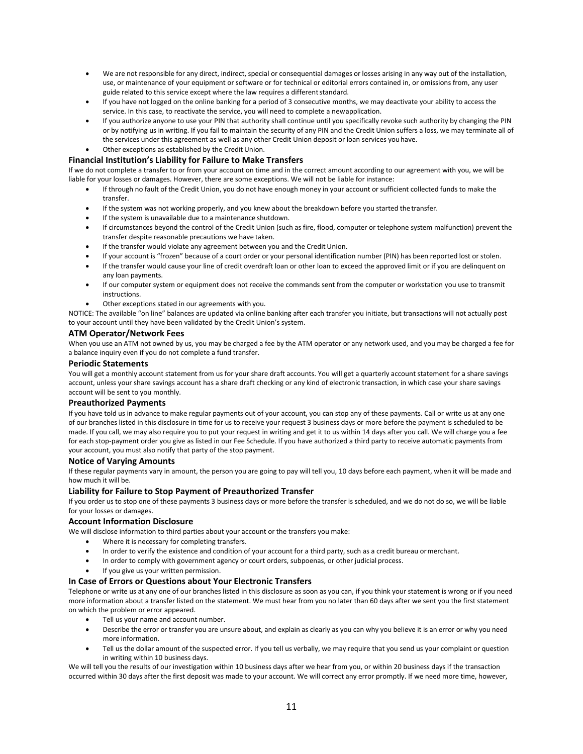- We are not responsible for any direct, indirect, special or consequential damages or losses arising in any way out of the installation, use, or maintenance of your equipment or software or for technical or editorial errors contained in, or omissions from, any user guide related to this service except where the law requires a different standard.
- If you have not logged on the online banking for a period of 3 consecutive months, we may deactivate your ability to access the service. In this case, to reactivate the service, you will need to complete a newapplication.
- If you authorize anyone to use your PIN that authority shall continue until you specifically revoke such authority by changing the PIN or by notifying us in writing. If you fail to maintain the security of any PIN and the Credit Union suffers a loss, we may terminate all of the services under this agreement as well as any other Credit Union deposit or loan services youhave.
- Other exceptions as established by the Credit Union.

## **Financial Institution's Liability for Failure to Make Transfers**

If we do not complete a transfer to or from your account on time and in the correct amount according to our agreement with you, we will be liable for your losses or damages. However, there are some exceptions. We will not be liable for instance:

- If through no fault of the Credit Union, you do not have enough money in your account or sufficient collected funds to make the transfer.
- If the system was not working properly, and you knew about the breakdown before you started the transfer.
- If the system is unavailable due to a maintenance shutdown.
- If circumstances beyond the control of the Credit Union (such as fire, flood, computer or telephone system malfunction) prevent the transfer despite reasonable precautions we have taken.
- If the transfer would violate any agreement between you and the Credit Union.
- If your account is "frozen" because of a court order or your personal identification number (PIN) has been reported lost or stolen.
- If the transfer would cause your line of credit overdraft loan or other loan to exceed the approved limit or if you are delinquent on any loan payments.
- If our computer system or equipment does not receive the commands sent from the computer or workstation you use to transmit instructions.
- Other exceptions stated in our agreements with you.

NOTICE: The available "on line" balances are updated via online banking after each transfer you initiate, but transactions will not actually post to your account until they have been validated by the Credit Union's system.

## **ATM Operator/Network Fees**

When you use an ATM not owned by us, you may be charged a fee by the ATM operator or any network used, and you may be charged a fee for a balance inquiry even if you do not complete a fund transfer.

## **Periodic Statements**

You will get a monthly account statement from us for your share draft accounts. You will get a quarterly account statement for a share savings account, unless your share savings account has a share draft checking or any kind of electronic transaction, in which case your share savings account will be sent to you monthly.

## **Preauthorized Payments**

If you have told us in advance to make regular payments out of your account, you can stop any of these payments. Call or write us at any one of our branches listed in this disclosure in time for us to receive your request 3 business days or more before the payment is scheduled to be made. If you call, we may also require you to put your request in writing and get it to us within 14 days after you call. We will charge you a fee for each stop-payment order you give as listed in our Fee Schedule. If you have authorized a third party to receive automatic payments from your account, you must also notify that party of the stop payment.

## **Notice of Varying Amounts**

If these regular payments vary in amount, the person you are going to pay will tell you, 10 days before each payment, when it will be made and how much it will be.

## **Liability for Failure to Stop Payment of Preauthorized Transfer**

If you order us to stop one of these payments 3 business days or more before the transfer is scheduled, and we do not do so, we will be liable for your losses or damages.

## **Account Information Disclosure**

We will disclose information to third parties about your account or the transfers you make:

- Where it is necessary for completing transfers.
- In order to verify the existence and condition of your account for a third party, such as a credit bureau ormerchant.
- In order to comply with government agency or court orders, subpoenas, or other judicial process.
- If you give us your written permission.

## **In Case of Errors or Questions about Your Electronic Transfers**

Telephone or write us at any one of our branches listed in this disclosure as soon as you can, if you think your statement is wrong or if you need more information about a transfer listed on the statement. We must hear from you no later than 60 days after we sent you the first statement on which the problem or error appeared.

- Tell us your name and account number.
- Describe the error or transfer you are unsure about, and explain as clearly as you can why you believe it is an error or why you need more information.
- Tell us the dollar amount of the suspected error. If you tell us verbally, we may require that you send us your complaint or question in writing within 10 business days.

We will tell you the results of our investigation within 10 business days after we hear from you, or within 20 business days if the transaction occurred within 30 days after the first deposit was made to your account. We will correct any error promptly. If we need more time, however,